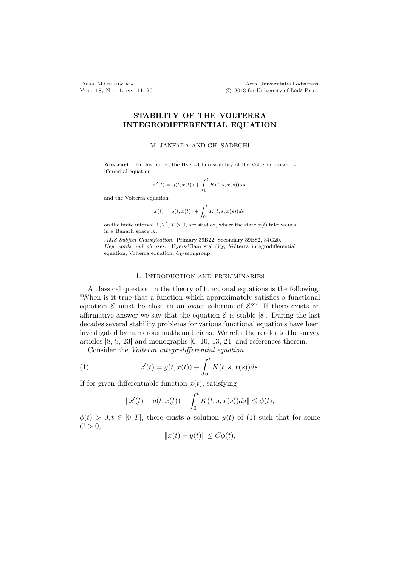Folia Mathematica Acta Universitatis Lodziensis Vol. 18, No. 1, PP. 11–20 © 2013 for University of Łódź Press

# STABILITY OF THE VOLTERRA INTEGRODIFFERENTIAL EQUATION

### M. JANFADA AND GH. SADEGHI

Abstract. In this paper, the Hyers-Ulam stability of the Volterra integrodifferential equation

$$
x'(t) = g(t, x(t)) + \int_0^t K(t, s, x(s))ds,
$$

and the Volterra equation

$$
x(t) = g(t, x(t)) + \int_0^t K(t, s, x(s))ds,
$$

on the finite interval  $[0, T]$ ,  $T > 0$ , are studied, where the state  $x(t)$  take values in a Banach space X.

AMS Subject Classification. Primary 39B22; Secondary 39B82, 34G20. Key words and phrases. Hyers-Ulam stability, Volterra integrodifferential equation, Volterra equation,  $C_0$ -semigroup.

### 1. Introduction and preliminaries

A classical question in the theory of functional equations is the following: "When is it true that a function which approximately satisfies a functional equation  $\mathcal E$  must be close to an exact solution of  $\mathcal E$ ?" If there exists an affirmative answer we say that the equation  $\mathcal E$  is stable [8]. During the last decades several stability problems for various functional equations have been investigated by numerous mathematicians. We refer the reader to the survey articles [8, 9, 23] and monographs [6, 10, 13, 24] and references therein.

Consider the Volterra integrodifferential equation

(1) 
$$
x'(t) = g(t, x(t)) + \int_0^t K(t, s, x(s))ds.
$$

If for given differentiable function  $x(t)$ , satisfying

$$
||x'(t) - g(t, x(t)) - \int_0^t K(t, s, x(s))ds|| \leq \phi(t),
$$

 $\phi(t) > 0, t \in [0, T]$ , there exists a solution  $y(t)$  of (1) such that for some  $C > 0$ ,

$$
||x(t) - y(t)|| \le C\phi(t),
$$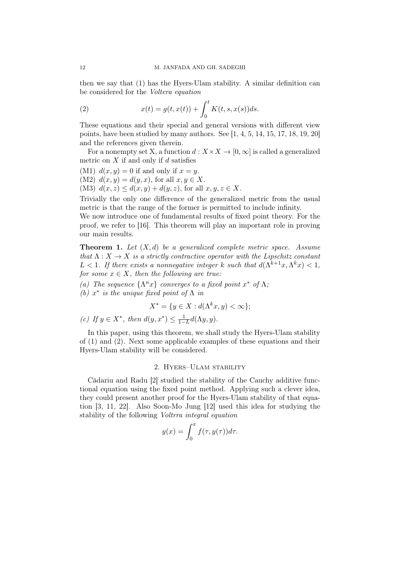then we say that (1) has the Hyers-Ulam stability. A similar definition can be considered for the Voltera equation

(2) 
$$
x(t) = g(t, x(t)) + \int_0^t K(t, s, x(s))ds.
$$

These equations and their special and general versions with different view points, have been studied by many authors. See  $[1, 4, 5, 14, 15, 17, 18, 19, 20]$ and the references given therein.

For a nonempty set X, a function  $d: X \times X \to [0, \infty]$  is called a generalized metric on  $X$  if and only if  $d$  satisfies

(M1)  $d(x, y) = 0$  if and only if  $x = y$ . (M2)  $d(x, y) = d(y, x)$ , for all  $x, y \in X$ .

(M3)  $d(x, z) \leq d(x, y) + d(y, z)$ , for all  $x, y, z \in X$ .

Trivially the only one difference of the generalized metric from the usual metric is that the range of the former is permitted to include infinity.

We now introduce one of fundamental results of fixed point theory. For the proof, we refer to [16]. This theorem will play an important role in proving our main results.

**Theorem 1.** Let  $(X,d)$  be a generalized complete metric space. Assume that  $\Lambda: X \to X$  is a strictly contractive operator with the Lipschitz constant L < 1. If there exists a nonnegative integer k such that  $d(\Lambda^{k+1}x, \Lambda^k x) < 1$ , for some  $x \in X$ , then the following are true:

(a) The sequence  $\{\Lambda^n x\}$  converges to a fixed point  $x^*$  of  $\Lambda$ ;

(b)  $x^*$  is the unique fixed point of  $\Lambda$  in

$$
X^* = \{ y \in X : d(\Lambda^k x, y) < \infty \};
$$

(c) If  $y \in X^*$ , then  $d(y, x^*) \leq \frac{1}{1-L} d(\Lambda y, y)$ .

In this paper, using this theorem, we shall study the Hyers-Ulam stability of (1) and (2). Next some applicable examples of these equations and their Hyers-Ulam stability will be considered.

## 2. Hyers–Ulam stability

Cădariu and Radu [2] studied the stability of the Cauchy additive functional equation using the fixed point method. Applying such a clever idea, they could present another proof for the Hyers-Ulam stability of that equation [3, 11, 22]. Also Soon-Mo Jung [12] used this idea for studying the stability of the following Voltrra integral equation

$$
y(x) = \int_0^x f(\tau, y(\tau))d\tau.
$$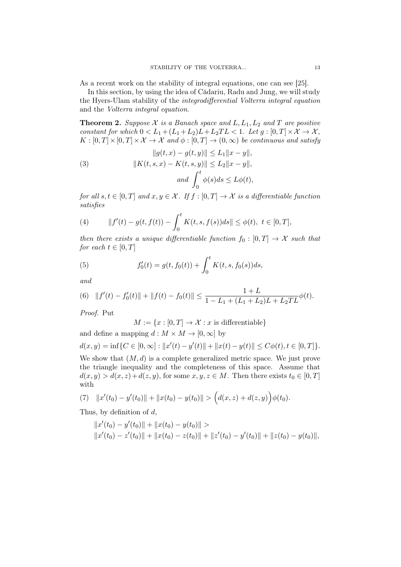As a recent work on the stability of integral equations, one can see [25].

In this section, by using the idea of Cădariu, Radu and Jung, we will study the Hyers-Ulam stability of the integrodifferential Volterra integral equation and the Volterra integral equation.

**Theorem 2.** Suppose X is a Banach space and  $L, L_1, L_2$  and T are positive constant for which  $0 < L_1 + (L_1 + L_2)L + L_2TL < 1$ . Let  $g : [0, T] \times \mathcal{X} \to \mathcal{X}$ ,  $K : [0, T] \times [0, T] \times \mathcal{X} \to \mathcal{X}$  and  $\phi : [0, T] \to (0, \infty)$  be continuous and satisfy

(3) 
$$
||g(t, x) - g(t, y)|| \le L_1 ||x - y||,
$$

$$
||K(t, s, x) - K(t, s, y)|| \le L_2 ||x - y||,
$$

$$
and \int_0^t \phi(s) ds \le L\phi(t),
$$

for all  $s, t \in [0, T]$  and  $x, y \in \mathcal{X}$ . If  $f : [0, T] \rightarrow \mathcal{X}$  is a differentiable function satisfies

(4) 
$$
||f'(t) - g(t, f(t)) - \int_0^t K(t, s, f(s))ds|| \leq \phi(t), \ t \in [0, T],
$$

then there exists a unique differentiable function  $f_0 : [0, T] \rightarrow \mathcal{X}$  such that for each  $t \in [0, T]$ 

(5) 
$$
f'_0(t) = g(t, f_0(t)) + \int_0^t K(t, s, f_0(s))ds,
$$

and

(6) 
$$
||f'(t) - f'_0(t)|| + ||f(t) - f_0(t)|| \le \frac{1 + L}{1 - L_1 + (L_1 + L_2)L + L_2TL} \phi(t).
$$

Proof. Put

 $M := \{x : [0, T] \to \mathcal{X} : x \text{ is differentiable}\}\$ 

and define a mapping  $d : M \times M \to [0, \infty]$  by

$$
d(x,y) = \inf\{C \in [0,\infty] : ||x'(t) - y'(t)|| + ||x(t) - y(t)|| \le C\phi(t), t \in [0,T]\}.
$$

We show that  $(M, d)$  is a complete generalized metric space. We just prove the triangle inequality and the completeness of this space. Assume that  $d(x, y) > d(x, z) + d(z, y)$ , for some  $x, y, z \in M$ . Then there exists  $t_0 \in [0, T]$ with

(7) 
$$
||x'(t_0) - y'(t_0)|| + ||x(t_0) - y(t_0)|| > (d(x, z) + d(z, y))\phi(t_0).
$$

Thus, by definition of  $d$ ,

$$
||x'(t_0) - y'(t_0)|| + ||x(t_0) - y(t_0)|| >
$$
  

$$
||x'(t_0) - z'(t_0)|| + ||x(t_0) - z(t_0)|| + ||z'(t_0) - y'(t_0)|| + ||z(t_0) - y(t_0)||,
$$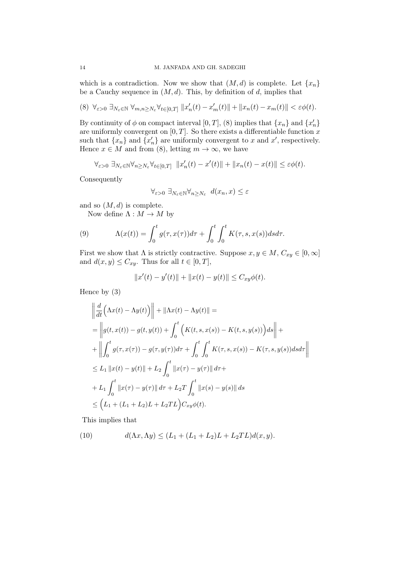which is a contradiction. Now we show that  $(M, d)$  is complete. Let  $\{x_n\}$ be a Cauchy sequence in  $(M, d)$ . This, by definition of d, implies that

$$
(8) \ \ \forall_{\varepsilon>0} \ \exists_{N_{\varepsilon}\in\mathbb{N}} \ \forall_{m,n\geq N_{\varepsilon}} \forall_{t\in[0,T]} \ ||x_n'(t)-x_m'(t)|| + ||x_n(t)-x_m(t)|| < \varepsilon\phi(t).
$$

By continuity of  $\phi$  on compact interval  $[0, T]$ ,  $(8)$  implies that  $\{x_n\}$  and  $\{x'_n\}$ are uniformly convergent on  $[0, T]$ . So there exists a differentiable function x such that  $\{x_n\}$  and  $\{x'_n\}$  are uniformly convergent to x and x', respectively. Hence  $x \in M$  and from (8), letting  $m \to \infty$ , we have

$$
\forall_{\varepsilon>0}\ \exists_{N_{\varepsilon}\in\mathbb{N}}\forall_{n\geq N_{\varepsilon}}\forall_{t\in[0,T]}\ \Vert x_{n}'(t)-x'(t)\Vert+\Vert x_{n}(t)-x(t)\Vert\leq\varepsilon\phi(t).
$$

Consequently

$$
\forall_{\varepsilon>0}\ \exists_{N_{\varepsilon}\in\mathbb{N}}\forall_{n\geq N_{\varepsilon}}\ d(x_n,x)\leq \varepsilon
$$

and so  $(M, d)$  is complete.

Now define  $\Lambda : M \to M$  by

(9) 
$$
\Lambda(x(t)) = \int_0^t g(\tau, x(\tau))d\tau + \int_0^t \int_0^t K(\tau, s, x(s))dsd\tau.
$$

First we show that  $\Lambda$  is strictly contractive. Suppose  $x, y \in M$ ,  $C_{xy} \in [0, \infty]$ and  $d(x, y) \leq C_{xy}$ . Thus for all  $t \in [0, T]$ ,

$$
||x'(t) - y'(t)|| + ||x(t) - y(t)|| \le C_{xy}\phi(t).
$$

Hence by (3)

$$
\begin{aligned}\n\left\| \frac{d}{dt} \Big( \Lambda x(t) - \Lambda y(t) \Big) \right\| &+ \|\Lambda x(t) - \Lambda y(t) \| = \\
&= \left\| g(t, x(t)) - g(t, y(t)) + \int_0^t \Big( K(t, s, x(s)) - K(t, s, y(s)) \Big) ds \right\| + \\
&+ \left\| \int_0^t g(\tau, x(\tau)) - g(\tau, y(\tau)) d\tau + \int_0^t \int_0^t K(\tau, s, x(s)) - K(\tau, s, y(s)) ds d\tau \right\| \\
&\leq L_1 \left\| x(t) - y(t) \right\| + L_2 \int_0^t \left\| x(\tau) - y(\tau) \right\| d\tau + \\
&+ L_1 \int_0^t \left\| x(\tau) - y(\tau) \right\| d\tau + L_2 T \int_0^t \left\| x(s) - y(s) \right\| ds \\
&\leq \Big( L_1 + (L_1 + L_2)L + L_2 TL \Big) C_{xy} \phi(t).\n\end{aligned}
$$

This implies that

(10) 
$$
d(\Lambda x, \Lambda y) \le (L_1 + (L_1 + L_2)L + L_2TL)d(x, y).
$$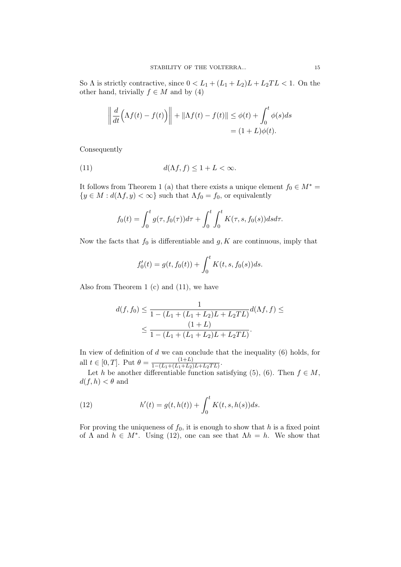So  $\Lambda$  is strictly contractive, since  $0 < L_1 + (L_1 + L_2)L + L_2TL < 1$ . On the other hand, trivially  $f \in M$  and by (4)

$$
\left\| \frac{d}{dt} \left( \Lambda f(t) - f(t) \right) \right\| + \left\| \Lambda f(t) - f(t) \right\| \le \phi(t) + \int_0^t \phi(s) ds
$$
  
=  $(1 + L)\phi(t).$ 

Consequently

(11) 
$$
d(\Lambda f, f) \le 1 + L < \infty.
$$

It follows from Theorem 1 (a) that there exists a unique element  $f_0 \in M^*$  ${y \in M : d(\Lambda f, y) < \infty}$  such that  $\Lambda f_0 = f_0$ , or equivalently

$$
f_0(t) = \int_0^t g(\tau, f_0(\tau)) d\tau + \int_0^t \int_0^t K(\tau, s, f_0(s)) ds d\tau.
$$

Now the facts that  $f_0$  is differentiable and  $g, K$  are continuous, imply that

$$
f_0'(t) = g(t, f_0(t)) + \int_0^t K(t, s, f_0(s))ds.
$$

Also from Theorem 1 (c) and (11), we have

$$
d(f, f_0) \le \frac{1}{1 - (L_1 + (L_1 + L_2)L + L_2TL)} d(\Lambda f, f) \le
$$
  

$$
\le \frac{(1 + L)}{1 - (L_1 + (L_1 + L_2)L + L_2TL)}.
$$

In view of definition of  $d$  we can conclude that the inequality  $(6)$  holds, for all  $t \in [0, T]$ . Put  $\theta = \frac{(1+L)}{1-(L_1+(L_1+L_2))}$  $\frac{(1+L)}{1-(L_1+(L_1+L_2)L+L_2TL)}$ .

Let h be another differentiable function satisfying (5), (6). Then  $f \in M$ ,  $d(f, h) < \theta$  and

(12) 
$$
h'(t) = g(t, h(t)) + \int_0^t K(t, s, h(s))ds.
$$

For proving the uniqueness of  $f_0$ , it is enough to show that h is a fixed point of  $\Lambda$  and  $\bar{h} \in M^*$ . Using (12), one can see that  $\Lambda h = h$ . We show that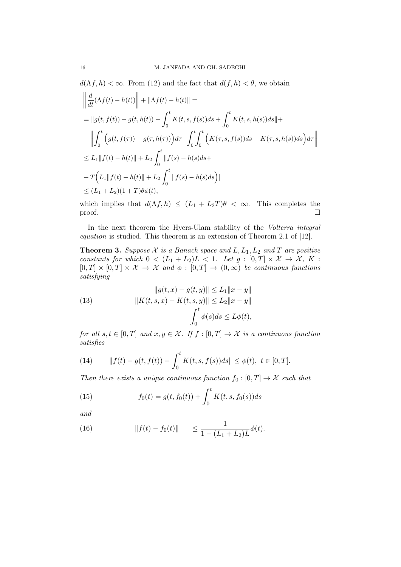$d(\Lambda f, h) < \infty$ . From (12) and the fact that  $d(f, h) < \theta$ , we obtain

$$
\left\| \frac{d}{dt} (\Lambda f(t) - h(t)) \right\| + \|\Lambda f(t) - h(t) \| =
$$
\n
$$
= \|g(t, f(t)) - g(t, h(t)) - \int_0^t K(t, s, f(s)) ds + \int_0^t K(t, s, h(s)) ds \| +
$$
\n
$$
+ \left\| \int_0^t \left( g(t, f(\tau)) - g(\tau, h(\tau)) \right) d\tau - \int_0^t \int_0^t \left( K(\tau, s, f(s)) ds + K(\tau, s, h(s)) ds \right) d\tau \right\|
$$
\n
$$
\leq L_1 \|f(t) - h(t)\| + L_2 \int_0^t \|f(s) - h(s) ds +
$$
\n
$$
+ T \Big( L_1 \|f(t) - h(t)\| + L_2 \int_0^t \|f(s) - h(s) ds \Big) \|
$$
\n
$$
\leq (L_1 + L_2)(1 + T) \theta \phi(t),
$$

which implies that  $d(\Lambda f, h) \leq (L_1 + L_2T)\theta < \infty$ . This completes the  $\Box$ 

In the next theorem the Hyers-Ulam stability of the Volterra integral equation is studied. This theorem is an extension of Theorem 2.1 of [12].

**Theorem 3.** Suppose X is a Banach space and  $L, L_1, L_2$  and T are positive constants for which  $0 < (L_1 + L_2)L < 1$ . Let  $g : [0, T] \times \mathcal{X} \to \mathcal{X}$ ,  $K$ :  $[0, T] \times [0, T] \times \mathcal{X} \to \mathcal{X}$  and  $\phi : [0, T] \to (0, \infty)$  be continuous functions satisfying

(13) 
$$
||g(t, x) - g(t, y)|| \le L_1 ||x - y||
$$

$$
||K(t, s, x) - K(t, s, y)|| \le L_2 ||x - y||
$$

$$
\int_0^t \phi(s) ds \le L\phi(t),
$$

for all  $s, t \in [0, T]$  and  $x, y \in \mathcal{X}$ . If  $f : [0, T] \rightarrow \mathcal{X}$  is a continuous function satisfies

(14) 
$$
||f(t) - g(t, f(t)) - \int_0^t K(t, s, f(s))ds|| \leq \phi(t), \ t \in [0, T].
$$

Then there exists a unique continuous function  $f_0 : [0, T] \to \mathcal{X}$  such that

(15) 
$$
f_0(t) = g(t, f_0(t)) + \int_0^t K(t, s, f_0(s))ds
$$

and

(16) 
$$
||f(t) - f_0(t)|| \leq \frac{1}{1 - (L_1 + L_2)L} \phi(t).
$$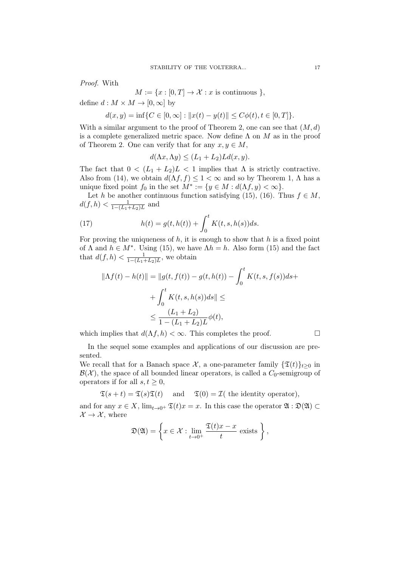Proof. With

 $M := \{x : [0, T] \to \mathcal{X} : x \text{ is continuous } \},\$ 

define  $d : M \times M \to [0, \infty]$  by

$$
d(x, y) = \inf \{ C \in [0, \infty] : ||x(t) - y(t)|| \le C\phi(t), t \in [0, T] \}.
$$

With a similar argument to the proof of Theorem 2, one can see that  $(M, d)$ is a complete generalized metric space. Now define  $\Lambda$  on  $M$  as in the proof of Theorem 2. One can verify that for any  $x, y \in M$ ,

$$
d(\Lambda x, \Lambda y) \le (L_1 + L_2)Ld(x, y).
$$

The fact that  $0 < (L_1 + L_2)L < 1$  implies that  $\Lambda$  is strictly contractive. Also from (14), we obtain  $d(\Lambda f, f) \leq 1 < \infty$  and so by Theorem 1,  $\Lambda$  has a unique fixed point  $f_0$  in the set  $M^* := \{y \in M : d(\Lambda f, y) < \infty\}.$ 

Let h be another continuous function satisfying (15), (16). Thus  $f \in M$ ,  $d(f, h) < \frac{1}{1 - (L_1)}$  $\frac{1}{1-(L_1+L_2)L}$  and

(17) 
$$
h(t) = g(t, h(t)) + \int_0^t K(t, s, h(s))ds.
$$

For proving the uniqueness of  $h$ , it is enough to show that  $h$  is a fixed point of  $\Lambda$  and  $h \in M^*$ . Using (15), we have  $\Lambda h = h$ . Also form (15) and the fact that  $d(f, h) < \frac{1}{1 - (L - h)}$  $\frac{1}{1-(L_1+L_2)L}$ , we obtain

$$
||\Lambda f(t) - h(t)|| = ||g(t, f(t)) - g(t, h(t)) - \int_0^t K(t, s, f(s))ds ++ \int_0^t K(t, s, h(s))ds|| \le
$$
  

$$
\leq \frac{(L_1 + L_2)}{1 - (L_1 + L_2)L} \phi(t),
$$

which implies that  $d(\Lambda f, h) < \infty$ . This completes the proof.

In the sequel some examples and applications of our discussion are presented.

We recall that for a Banach space  $\mathcal{X}$ , a one-parameter family  $\{\mathfrak{T}(t)\}_{t>0}$  in  $\mathcal{B}(\mathcal{X})$ , the space of all bounded linear operators, is called a  $C_0$ -semigroup of operators if for all  $s, t \geq 0$ ,

$$
\mathfrak{T}(s+t) = \mathfrak{T}(s)\mathfrak{T}(t)
$$
 and  $\mathfrak{T}(0) = \mathfrak{T}(t)$  the identity operator),

and for any  $x \in X$ ,  $\lim_{t\to 0^+} \mathfrak{T}(t)x = x$ . In this case the operator  $\mathfrak{A} : \mathfrak{D}(\mathfrak{A}) \subset$  $\mathcal{X} \to \mathcal{X}$ , where

$$
\mathfrak{D}(\mathfrak{A}) = \left\{ x \in \mathcal{X} : \lim_{t \to 0^+} \frac{\mathfrak{T}(t)x - x}{t} \text{ exists } \right\},\
$$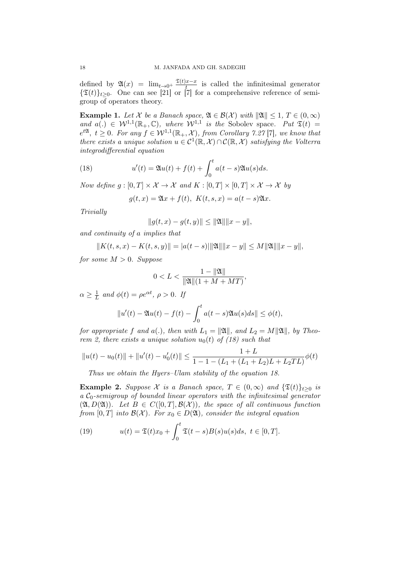defined by  $\mathfrak{A}(x) = \lim_{t \to 0^+} \frac{\mathfrak{T}(t)x - x}{t}$  $\frac{dx-x}{t}$  is called the infinitesimal generator  $\{\mathfrak{T}(t)\}_{t>0}$ . One can see [21] or [7] for a comprehensive reference of semigroup of operators theory.

**Example 1.** Let X be a Banach space,  $\mathfrak{A} \in \mathcal{B}(\mathcal{X})$  with  $\|\mathfrak{A}\| \leq 1$ ,  $T \in (0, \infty)$ and  $a(.) \in \mathcal{W}^{1,1}(\mathbb{R}_+,\mathbb{C})$ , where  $\mathcal{W}^{1,1}$  is the Sobolev space. Put  $\mathfrak{T}(t) =$  $e^{t\mathfrak{A}}, t \geq 0$ . For any  $f \in \mathcal{W}^{1,1}(\mathbb{R}_+, \mathcal{X}),$  from Corollary 7.27 [7], we know that there exists a unique solution  $u \in C^1(\mathbb{R}, \mathcal{X}) \cap C(\mathbb{R}, \mathcal{X})$  satisfying the Volterra integrodifferential equation

(18) 
$$
u'(t) = \mathfrak{A}u(t) + f(t) + \int_0^t a(t-s)\mathfrak{A}u(s)ds.
$$

Now define  $g : [0, T] \times \mathcal{X} \to \mathcal{X}$  and  $K : [0, T] \times [0, T] \times \mathcal{X} \to \mathcal{X}$  by

$$
g(t,x) = \mathfrak{A}x + f(t), \ K(t,s,x) = a(t-s)\mathfrak{A}x.
$$

Trivially

$$
||g(t,x) - g(t,y)|| \le ||\mathfrak{A}|| ||x - y||,
$$

and continuity of a implies that

$$
||K(t, s, x) - K(t, s, y)|| = |a(t - s)||\mathfrak{A}|| ||x - y|| \le M ||\mathfrak{A}|| ||x - y||,
$$

for some  $M > 0$ . Suppose

$$
0 < L < \frac{1 - ||\mathfrak{A}||}{||\mathfrak{A}|| (1 + M + MT)},
$$

 $\alpha \geq \frac{1}{l}$  $\frac{1}{L}$  and  $\phi(t) = \rho e^{\alpha t}, \ \rho > 0.$  If

$$
||u'(t) - \mathfrak{A}u(t) - f(t) - \int_0^t a(t-s)\mathfrak{A}u(s)ds|| \leq \phi(t),
$$

for appropriate f and a(.), then with  $L_1 = ||\mathfrak{A}||$ , and  $L_2 = M||\mathfrak{A}||$ , by Theorem 2, there exists a unique solution  $u_0(t)$  of (18) such that

$$
||u(t) - u_0(t)|| + ||u'(t) - u'_0(t)|| \le \frac{1 + L}{1 - 1 - (L_1 + (L_1 + L_2)L + L_2TL)} \phi(t)
$$

Thus we obtain the Hyers–Ulam stability of the equation 18.

**Example 2.** Suppose X is a Banach space,  $T \in (0,\infty)$  and  $\{\mathfrak{T}(t)\}_{t>0}$  is a  $C_0$ -semigroup of bounded linear operators with the infinitesimal generator  $(\mathfrak{A}, D(\mathfrak{A}))$ . Let  $B \in C([0,T], \mathcal{B}(\mathcal{X}))$ , the space of all continuous function from [0, T] into  $\mathcal{B}(\mathcal{X})$ . For  $x_0 \in D(\mathfrak{A})$ , consider the integral equation

(19) 
$$
u(t) = \mathfrak{T}(t)x_0 + \int_0^t \mathfrak{T}(t-s)B(s)u(s)ds, \ t \in [0,T].
$$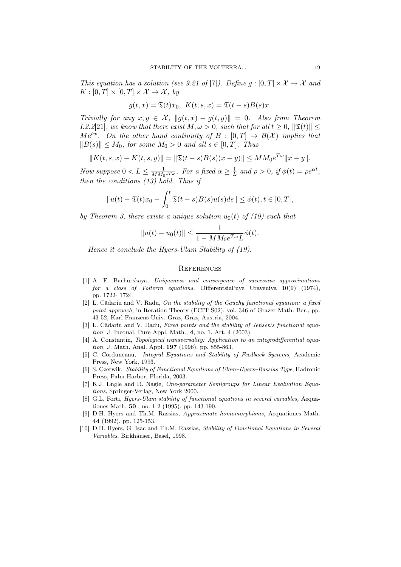This equation has a solution (see 9.21 of [7]). Define  $g:[0,T]\times\mathcal{X}\to\mathcal{X}$  and  $K : [0, T] \times [0, T] \times \mathcal{X} \rightarrow \mathcal{X}$ , by

$$
g(t,x) = \mathfrak{T}(t)x_0, \ K(t,s,x) = \mathfrak{T}(t-s)B(s)x.
$$

Trivially for any  $x, y \in \mathcal{X}$ ,  $||g(t, x) - g(t, y)|| = 0$ . Also from Theorem *I.2.2*[21], we know that there exist  $M, \omega > 0$ , such that for all  $t \geq 0$ ,  $\|\mathfrak{T}(t)\| \leq$  $Me^{tw}$ . On the other hand continuity of  $B : [0, T] \rightarrow \mathcal{B}(\mathcal{X})$  implies that  $||B(s)|| \leq M_0$ , for some  $M_0 > 0$  and all  $s \in [0, T]$ . Thus

$$
||K(t,s,x) - K(t,s,y)|| = ||\mathfrak{T}(t-s)B(s)(x-y)|| \leq MM_0 e^{T\omega} ||x-y||.
$$

Now suppose  $0 < L \leq \frac{1}{MM}$  $\frac{1}{MM_0e^{T\omega}}$ . For a fixed  $\alpha \geq \frac{1}{L}$  $\frac{1}{L}$  and  $\rho > 0$ , if  $\phi(t) = \rho e^{\alpha t}$ , then the conditions  $(13)$  hold. Thus if

$$
||u(t) - \mathfrak{T}(t)x_0 - \int_0^t \mathfrak{T}(t-s)B(s)u(s)ds|| \leq \phi(t), t \in [0, T],
$$

by Theorem 3, there exists a unique solution  $u_0(t)$  of (19) such that

$$
||u(t) - u_0(t)|| \le \frac{1}{1 - MM_0 e^{T\omega} L} \phi(t).
$$

Hence it conclude the Hyers-Ulam Stability of (19).

### **REFERENCES**

- [1] A. F. Bachurskaya, Uniqueness and convergence of successive approximations for a class of Volterra equations, Differentsial'nye Uraveniya 10(9) (1974), pp. 1722- 1724.
- [2] L. Cădariu and V. Radu, On the stability of the Cauchy functional equation: a fixed point approach, in Iteration Theory (ECIT Š02), vol. 346 of Grazer Math. Ber., pp. 43-52, Karl-Franzens-Univ. Graz, Graz, Austria, 2004.
- [3] L. Cădariu and V. Radu, Fixed points and the stability of Jensen's functional equation, J. Inequal. Pure Appl. Math., 4, no. 1, Art. 4 (2003).
- [4] A. Constantin, Topological transversality: Application to an integrodifferential equation, J. Math. Anal. Appl. **197** (1996), pp. 855-863.
- [5] C. Corduneanu, Integral Equations and Stability of Feedback Systems, Academic Press, New York, 1993.
- [6] S. Czerwik, Stability of Functional Equations of Ulam–Hyers–Rassias Type, Hadronic Press, Palm Harbor, Florida, 2003.
- [7] K.J. Engle and R. Nagle, One-parameter Semigroups for Linear Evaluation Equations, Springer-Verlag, New York 2000.
- [8] G.L. Forti, *Hyers-Ulam stability of functional equations in several variables*, Aequationes Math. 50 , no. 1-2 (1995), pp. 143-190.
- [9] D.H. Hyers and Th.M. Rassias, Approximate homomorphisms, Aequationes Math. 44 (1992), pp. 125-153.
- [10] D.H. Hyers, G. Isac and Th.M. Rassias, Stability of Functional Equations in Several Variables, Birkhäuser, Basel, 1998.